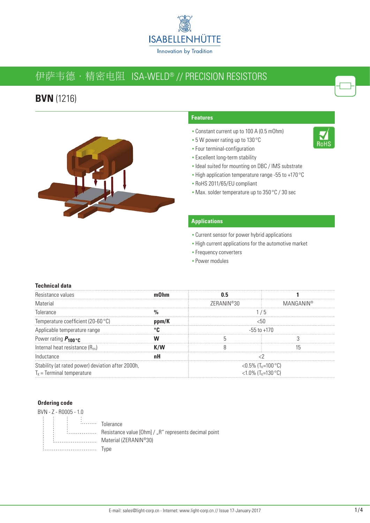

# 伊萨韦德 · 精密电阻 ISA-WELD® // PRECISION RESISTORS

### **BVN** (1216)



#### **Features**

- Constant current up to 100 A (0.5 mOhm)
- 5 W power rating up to 130 °C
- Four terminal-configuration
- **Excellent long-term stability**
- Ideal suited for mounting on DBC / IMS substrate
- High application temperature range -55 to +170 °C
- RoHS 2011/65/EU compliant
- Max. solder temperature up to 350 °C / 30 sec

#### **Applications**

- **Current sensor for power hybrid applications**
- High current applications for the automotive market
- **Frequency converters**
- Power modules

#### **Technical data**

| Resistance values                                 |       |                                |                              |  |
|---------------------------------------------------|-------|--------------------------------|------------------------------|--|
| Material                                          |       | 7FRANIN®30                     | MANGANIN®                    |  |
| Tolerance                                         |       |                                |                              |  |
| Temperature coefficient (20-60 °C)                | ppm/K |                                |                              |  |
| Applicable temperature range                      |       | -55 to +170                    |                              |  |
| Power rating $P_{100}$ $\cdot$ C                  |       |                                |                              |  |
| Internal heat resistance $(R_{\text{th}})$        |       |                                |                              |  |
| Inductance                                        |       |                                |                              |  |
| Stability (at rated power) deviation after 2000h, |       | <0.5% (T <sub>k</sub> =100 °C) |                              |  |
| $T_{K}$ = Terminal temperature                    |       |                                | <1.0% $(T_{K}=130^{\circ}C)$ |  |

#### **Ordering code**

|           | BVN - Z - R0005 - 1.0 |                                                       |
|-----------|-----------------------|-------------------------------------------------------|
| $\sim 10$ |                       | i Tolerance                                           |
|           |                       | Resistance value [Ohm] / "R" represents decimal point |
|           |                       | Material (ZERANIN®30)                                 |
|           |                       | vne                                                   |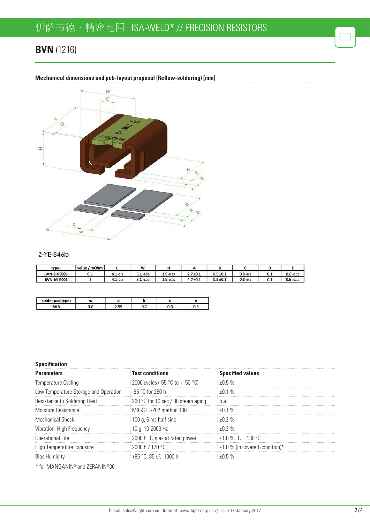## **BVN** (1216)



**Mechanical dimensions and pcb-layout proposal (Reflow-soldering) [mm]** 

#### Z-YE-846b

| type:              | value / mOhm |             | W            |              |               |               |             |     |              |
|--------------------|--------------|-------------|--------------|--------------|---------------|---------------|-------------|-----|--------------|
| <b>BVN-Z-R0005</b> | 0.5          | $4.1 - 0.3$ | $3.1 - 0.35$ | $1.9 - 0.35$ | $2.7 \pm 0.1$ | $0.5 \pm 0.1$ | $0.8 + 0.3$ | 0.1 | $0.6 + 0.15$ |
| <b>BVN-M-R001</b>  |              | $4.1 - 0.3$ | $3.1 - 0.35$ | $1.9 - 0.35$ | $2.7 + 0.1$   | $0.5 \pm 0.1$ | $0.8 + 0.3$ | 0.1 | $0.6 + 0.15$ |

| solder pad type: |    |    |  |
|------------------|----|----|--|
| <b>DVAI</b>      | ñ۴ | v. |  |

#### **Specification**

| <b>Parameters</b>                     | <b>Test conditions</b>             | <b>Specified values</b>              |
|---------------------------------------|------------------------------------|--------------------------------------|
| Temperature Cycling                   | 2000 cycles (-55 °C to +150 °C)    | $+0.5%$                              |
| Low Temperature Storage and Operation | $-65$ °C for 250 h                 | ⊦በ 1 %                               |
| Resistance to Soldering Heat          | 260 °C for 10 sec / 8h steam aging | n.a                                  |
| Moisture Resistance                   | MIL-STD-202 method 106             | +በ 1 %                               |
| <b>Mechanical Shock</b>               | 100 g, 6 ms half sine              | $+0.2%$                              |
| Vibration, High Frequency             | $\pm$ 10 g, 10-2000 Hz             | +በ 2 %                               |
| Operational Life                      | 2000 h, $T_K$ max at rated power   | $\pm 1.0$ %, T <sub>K</sub> = 130 °C |
| High Temperature Exposure             | 2000 h / 170 °C                    | $\pm$ 1.0 % (in covered condition)*  |
| <b>Bias Humidity</b>                  | $+85$ °C, 85 r.F., 1000 h          | n 5 %                                |
|                                       |                                    |                                      |

\* for MANGANIN® and ZERANIN®30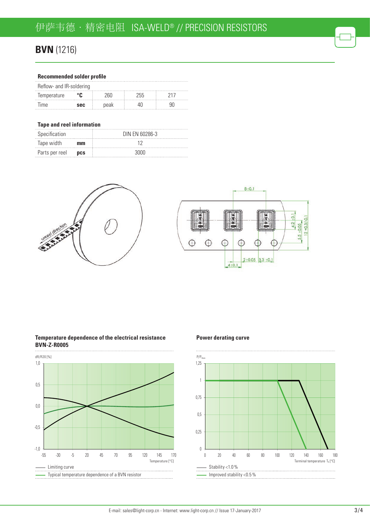### **BVN** (1216)

#### **Recommended solder profile**

| Reflow- and IR-soldering |            |                      |     |  |
|--------------------------|------------|----------------------|-----|--|
| Temperature              |            | $^{\prime\prime}$ 60 | 255 |  |
| <b>lime</b>              | <b>SAC</b> | neak                 |     |  |

#### **Tape and reel information**

| Specification  |            | DIN EN 60286-3 |
|----------------|------------|----------------|
| Tape width     | mm         |                |
| Parts per reel | <b>DCS</b> | 3000.          |





#### **Temperature dependence of the electrical resistance BVN-Z-R0005**



#### **Power derating curve**